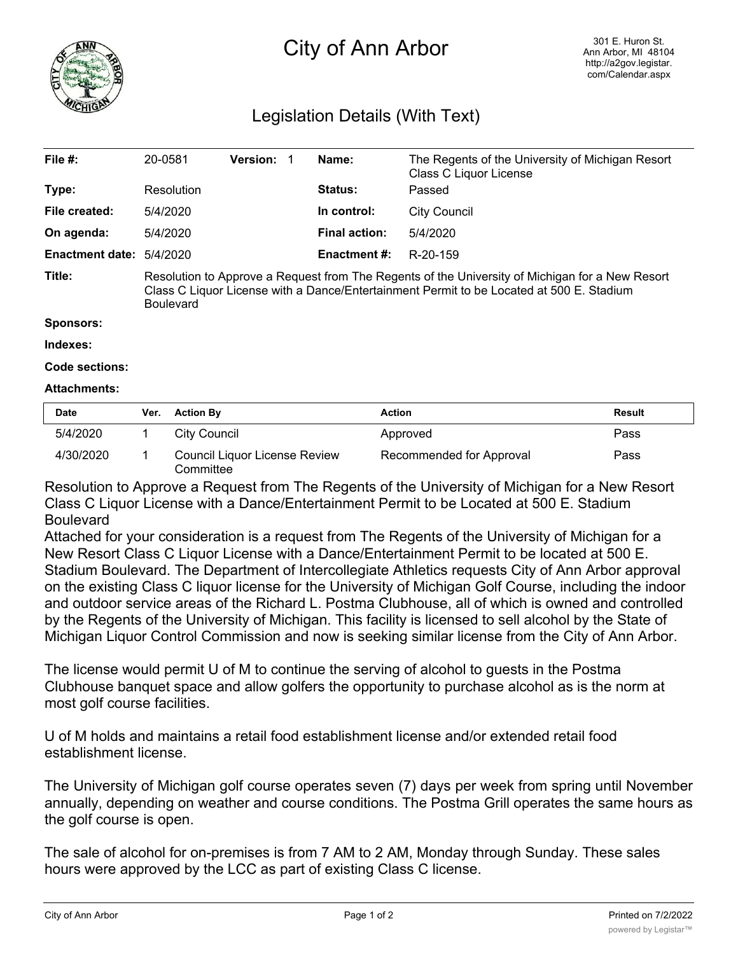

# City of Ann Arbor

# Legislation Details (With Text)

| File $#$ :                      | 20-0581                                                                                                                                                                                                         | <b>Version:</b> |  | Name:                | The Regents of the University of Michigan Resort<br>Class C Liquor License |  |
|---------------------------------|-----------------------------------------------------------------------------------------------------------------------------------------------------------------------------------------------------------------|-----------------|--|----------------------|----------------------------------------------------------------------------|--|
| Type:                           | Resolution                                                                                                                                                                                                      |                 |  | <b>Status:</b>       | Passed                                                                     |  |
| File created:                   | 5/4/2020                                                                                                                                                                                                        |                 |  | In control:          | <b>City Council</b>                                                        |  |
| On agenda:                      | 5/4/2020                                                                                                                                                                                                        |                 |  | <b>Final action:</b> | 5/4/2020                                                                   |  |
| <b>Enactment date: 5/4/2020</b> |                                                                                                                                                                                                                 |                 |  | Enactment #:         | R-20-159                                                                   |  |
| Title:                          | Resolution to Approve a Request from The Regents of the University of Michigan for a New Resort<br>Class C Liquor License with a Dance/Entertainment Permit to be Located at 500 E. Stadium<br><b>Boulevard</b> |                 |  |                      |                                                                            |  |

#### **Sponsors:**

#### **Indexes:**

## **Code sections:**

## **Attachments:**

| <b>Date</b> | Ver. Action By                             | Action                   | <b>Result</b> |
|-------------|--------------------------------------------|--------------------------|---------------|
| 5/4/2020    | City Council                               | Approved                 | Pass          |
| 4/30/2020   | Council Liquor License Review<br>Committee | Recommended for Approval | Pass          |

Resolution to Approve a Request from The Regents of the University of Michigan for a New Resort Class C Liquor License with a Dance/Entertainment Permit to be Located at 500 E. Stadium Boulevard

Attached for your consideration is a request from The Regents of the University of Michigan for a New Resort Class C Liquor License with a Dance/Entertainment Permit to be located at 500 E. Stadium Boulevard. The Department of Intercollegiate Athletics requests City of Ann Arbor approval on the existing Class C liquor license for the University of Michigan Golf Course, including the indoor and outdoor service areas of the Richard L. Postma Clubhouse, all of which is owned and controlled by the Regents of the University of Michigan. This facility is licensed to sell alcohol by the State of Michigan Liquor Control Commission and now is seeking similar license from the City of Ann Arbor.

The license would permit U of M to continue the serving of alcohol to guests in the Postma Clubhouse banquet space and allow golfers the opportunity to purchase alcohol as is the norm at most golf course facilities.

U of M holds and maintains a retail food establishment license and/or extended retail food establishment license.

The University of Michigan golf course operates seven (7) days per week from spring until November annually, depending on weather and course conditions. The Postma Grill operates the same hours as the golf course is open.

The sale of alcohol for on-premises is from 7 AM to 2 AM, Monday through Sunday. These sales hours were approved by the LCC as part of existing Class C license.